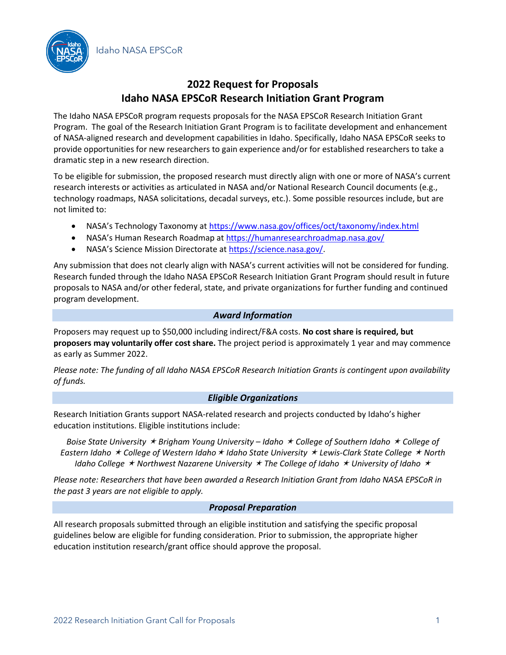Idaho NASA EPSCoR



# **2022 Request for Proposals Idaho NASA EPSCoR Research Initiation Grant Program**

The Idaho NASA EPSCoR program requests proposals for the NASA EPSCoR Research Initiation Grant Program. The goal of the Research Initiation Grant Program is to facilitate development and enhancement of NASA-aligned research and development capabilities in Idaho. Specifically, Idaho NASA EPSCoR seeks to provide opportunities for new researchers to gain experience and/or for established researchers to take a dramatic step in a new research direction.

To be eligible for submission, the proposed research must directly align with one or more of NASA's current research interests or activities as articulated in NASA and/or National Research Council documents (e.g., technology roadmaps, NASA solicitations, decadal surveys, etc.). Some possible resources include, but are not limited to:

- NASA's Technology Taxonomy at<https://www.nasa.gov/offices/oct/taxonomy/index.html>
- NASA's Human Research Roadmap at <https://humanresearchroadmap.nasa.gov/>
- NASA's Science Mission Directorate at [https://science.nasa.gov/.](https://science.nasa.gov/)

Any submission that does not clearly align with NASA's current activities will not be considered for funding. Research funded through the Idaho NASA EPSCoR Research Initiation Grant Program should result in future proposals to NASA and/or other federal, state, and private organizations for further funding and continued program development.

#### *Award Information*

Proposers may request up to \$50,000 including indirect/F&A costs. **No cost share is required, but proposers may voluntarily offer cost share.** The project period is approximately 1 year and may commence as early as Summer 2022.

*Please note: The funding of all Idaho NASA EPSCoR Research Initiation Grants is contingent upon availability of funds.*

### *Eligible Organizations*

Research Initiation Grants support NASA-related research and projects conducted by Idaho's higher education institutions. Eligible institutions include:

*Boise State University Brigham Young University – Idaho College of Southern Idaho College of Eastern Idaho College of Western Idaho Idaho State University Lewis-Clark State College North Idaho College Northwest Nazarene University The College of Idaho University of Idaho*

*Please note: Researchers that have been awarded a Research Initiation Grant from Idaho NASA EPSCoR in the past 3 years are not eligible to apply.* 

#### *Proposal Preparation*

All research proposals submitted through an eligible institution and satisfying the specific proposal guidelines below are eligible for funding consideration. Prior to submission, the appropriate higher education institution research/grant office should approve the proposal.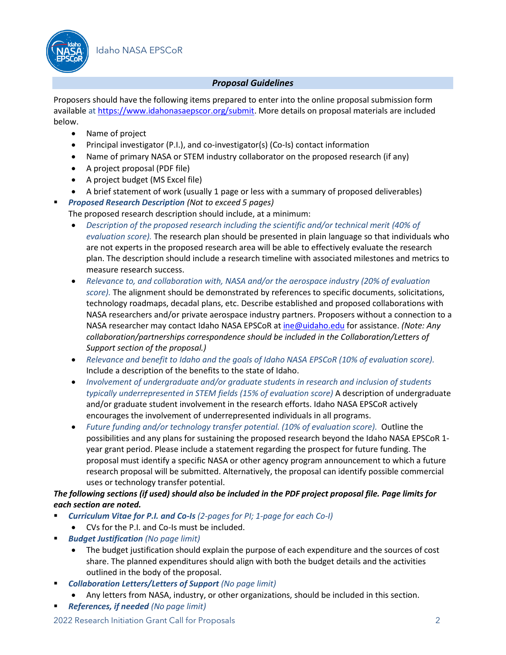

### *Proposal Guidelines*

Proposers should have the following items prepared to enter into the online proposal submission form available at [https://www.idahonasaepscor.org/submit.](https://www.idahonasaepscor.org/submit) More details on proposal materials are included below.

- Name of project
- Principal investigator (P.I.), and co-investigator(s) (Co-Is) contact information
- Name of primary NASA or STEM industry collaborator on the proposed research (if any)
- A project proposal (PDF file)
- A project budget (MS Excel file)
- A brief statement of work (usually 1 page or less with a summary of proposed deliverables)
- *Proposed Research Description (Not to exceed 5 pages)*
	- The proposed research description should include, at a minimum:
		- *Description of the proposed research including the scientific and/or technical merit (40% of evaluation score).* The research plan should be presented in plain language so that individuals who are not experts in the proposed research area will be able to effectively evaluate the research plan. The description should include a research timeline with associated milestones and metrics to measure research success.
		- *Relevance to, and collaboration with, NASA and/or the aerospace industry (20% of evaluation score).* The alignment should be demonstrated by references to specific documents, solicitations, technology roadmaps, decadal plans, etc. Describe established and proposed collaborations with NASA researchers and/or private aerospace industry partners. Proposers without a connection to a NASA researcher may contact Idaho NASA EPSCoR a[t ine@uidaho.edu](mailto:ine@uidaho.edu) for assistance. *(Note: Any collaboration/partnerships correspondence should be included in the Collaboration/Letters of Support section of the proposal.)*
		- *Relevance and benefit to Idaho and the goals of Idaho NASA EPSCoR (10% of evaluation score).*  Include a description of the benefits to the state of Idaho.
		- *Involvement of undergraduate and/or graduate students in research and inclusion of students typically underrepresented in STEM fields (15% of evaluation score)* A description of undergraduate and/or graduate student involvement in the research efforts. Idaho NASA EPSCoR actively encourages the involvement of underrepresented individuals in all programs.
		- *Future funding and/or technology transfer potential. (10% of evaluation score).* Outline the possibilities and any plans for sustaining the proposed research beyond the Idaho NASA EPSCoR 1 year grant period. Please include a statement regarding the prospect for future funding. The proposal must identify a specific NASA or other agency program announcement to which a future research proposal will be submitted. Alternatively, the proposal can identify possible commercial uses or technology transfer potential.

### *The following sections (if used) should also be included in the PDF project proposal file. Page limits for each section are noted.*

- *Curriculum Vitae for P.I. and Co-Is (2-pages for PI; 1-page for each Co-I)*
- CVs for the P.I. and Co-Is must be included.
- **Budget Justification** (No page limit)
	- The budget justification should explain the purpose of each expenditure and the sources of cost share. The planned expenditures should align with both the budget details and the activities outlined in the body of the proposal.
- *Collaboration Letters/Letters of Support (No page limit)*
	- Any letters from NASA, industry, or other organizations, should be included in this section.
- *References, if needed (No page limit)*

2022 Research Initiation Grant Call for Proposals 2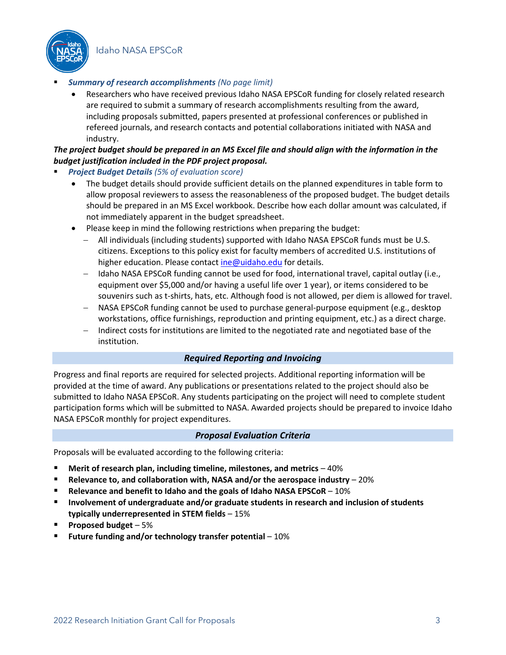Idaho NASA EPSCoR



#### **Summary of research accomplishments** *(No page limit)*

• Researchers who have received previous Idaho NASA EPSCoR funding for closely related research are required to submit a summary of research accomplishments resulting from the award, including proposals submitted, papers presented at professional conferences or published in refereed journals, and research contacts and potential collaborations initiated with NASA and industry.

### *The project budget should be prepared in an MS Excel file and should align with the information in the budget justification included in the PDF project proposal.*

- *Project Budget Details (5% of evaluation score)*
	- The budget details should provide sufficient details on the planned expenditures in table form to allow proposal reviewers to assess the reasonableness of the proposed budget. The budget details should be prepared in an MS Excel workbook. Describe how each dollar amount was calculated, if not immediately apparent in the budget spreadsheet.
	- Please keep in mind the following restrictions when preparing the budget:
		- − All individuals (including students) supported with Idaho NASA EPSCoR funds must be U.S. citizens. Exceptions to this policy exist for faculty members of accredited U.S. institutions of higher education. Please contact [ine@uidaho.edu](mailto:ine@uidaho.edu) for details.
		- − Idaho NASA EPSCoR funding cannot be used for food, international travel, capital outlay (i.e., equipment over \$5,000 and/or having a useful life over 1 year), or items considered to be souvenirs such as t-shirts, hats, etc. Although food is not allowed, per diem is allowed for travel.
		- − NASA EPSCoR funding cannot be used to purchase general-purpose equipment (e.g., desktop workstations, office furnishings, reproduction and printing equipment, etc.) as a direct charge.
		- Indirect costs for institutions are limited to the negotiated rate and negotiated base of the institution.

#### *Required Reporting and Invoicing*

Progress and final reports are required for selected projects. Additional reporting information will be provided at the time of award. Any publications or presentations related to the project should also be submitted to Idaho NASA EPSCoR. Any students participating on the project will need to complete student participation forms which will be submitted to NASA. Awarded projects should be prepared to invoice Idaho NASA EPSCoR monthly for project expenditures.

#### *Proposal Evaluation Criteria*

Proposals will be evaluated according to the following criteria:

- **Merit of research plan, including timeline, milestones, and metrics 40%**
- **Relevance to, and collaboration with, NASA and/or the aerospace industry** 20%
- **Relevance and benefit to Idaho and the goals of Idaho NASA EPSCoR**  10%
- **Involvement of undergraduate and/or graduate students in research and inclusion of students typically underrepresented in STEM fields** – 15%
- **Proposed budget**  5%
- **Future funding and/or technology transfer potential 10%**